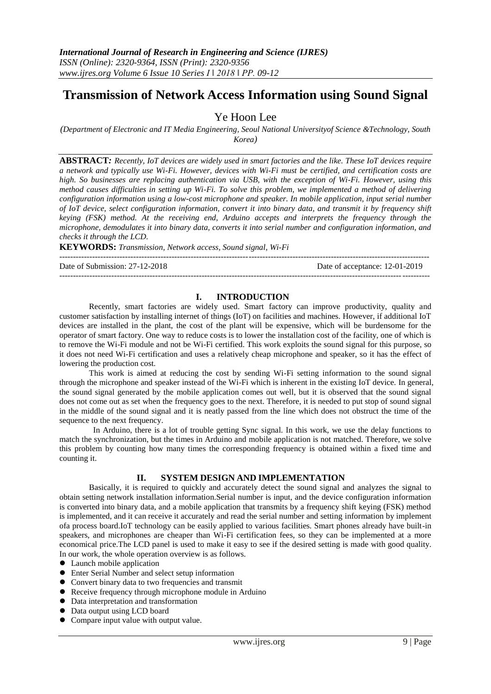# **Transmission of Network Access Information using Sound Signal**

# Ye Hoon Lee

*(Department of Electronic and IT Media Engineering, Seoul National Universityof Science &Technology, South Korea)*

**ABSTRACT***: Recently, IoT devices are widely used in smart factories and the like. These IoT devices require a network and typically use Wi-Fi. However, devices with Wi-Fi must be certified, and certification costs are high. So businesses are replacing authentication via USB, with the exception of Wi-Fi. However, using this method causes difficulties in setting up Wi-Fi. To solve this problem, we implemented a method of delivering configuration information using a low-cost microphone and speaker. In mobile application, input serial number of IoT device, select configuration information, convert it into binary data, and transmit it by frequency shift keying (FSK) method. At the receiving end, Arduino accepts and interprets the frequency through the microphone, demodulates it into binary data, converts it into serial number and configuration information, and checks it through the LCD.*

**KEYWORDS:** *Transmission, Network access, Sound signal, Wi-Fi* ---------------------------------------------------------------------------------------------------------------------------------------

Date of Submission: 27-12-2018 Date of acceptance: 12-01-2019

# **I. INTRODUCTION**

---------------------------------------------------------------------------------------------------------------------------------------

Recently, smart factories are widely used. Smart factory can improve productivity, quality and customer satisfaction by installing internet of things (IoT) on facilities and machines. However, if additional IoT devices are installed in the plant, the cost of the plant will be expensive, which will be burdensome for the operator of smart factory. One way to reduce costs is to lower the installation cost of the facility, one of which is to remove the Wi-Fi module and not be Wi-Fi certified. This work exploits the sound signal for this purpose, so it does not need Wi-Fi certification and uses a relatively cheap microphone and speaker, so it has the effect of lowering the production cost.

This work is aimed at reducing the cost by sending Wi-Fi setting information to the sound signal through the microphone and speaker instead of the Wi-Fi which is inherent in the existing IoT device. In general, the sound signal generated by the mobile application comes out well, but it is observed that the sound signal does not come out as set when the frequency goes to the next. Therefore, it is needed to put stop of sound signal in the middle of the sound signal and it is neatly passed from the line which does not obstruct the time of the sequence to the next frequency.

 In Arduino, there is a lot of trouble getting Sync signal. In this work, we use the delay functions to match the synchronization, but the times in Arduino and mobile application is not matched. Therefore, we solve this problem by counting how many times the corresponding frequency is obtained within a fixed time and counting it.

#### **II. SYSTEM DESIGN AND IMPLEMENTATION**

Basically, it is required to quickly and accurately detect the sound signal and analyzes the signal to obtain setting network installation information.Serial number is input, and the device configuration information is converted into binary data, and a mobile application that transmits by a frequency shift keying (FSK) method is implemented, and it can receive it accurately and read the serial number and setting information by implement ofa process board.IoT technology can be easily applied to various facilities. Smart phones already have built-in speakers, and microphones are cheaper than Wi-Fi certification fees, so they can be implemented at a more economical price.The LCD panel is used to make it easy to see if the desired setting is made with good quality. In our work, the whole operation overview is as follows.

- Launch mobile application
- Enter Serial Number and select setup information
- Convert binary data to two frequencies and transmit
- Receive frequency through microphone module in Arduino
- Data interpretation and transformation
- Data output using LCD board
- Compare input value with output value.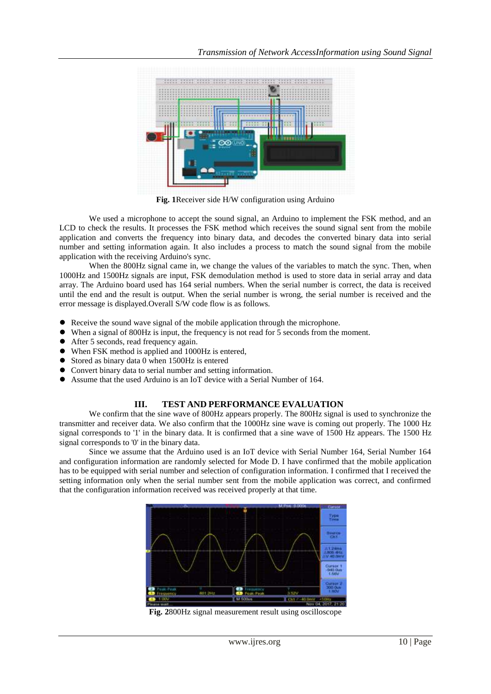

**Fig. 1**Receiver side H/W configuration using Arduino

We used a microphone to accept the sound signal, an Arduino to implement the FSK method, and an LCD to check the results. It processes the FSK method which receives the sound signal sent from the mobile application and converts the frequency into binary data, and decodes the converted binary data into serial number and setting information again. It also includes a process to match the sound signal from the mobile application with the receiving Arduino's sync.

When the 800Hz signal came in, we change the values of the variables to match the sync. Then, when 1000Hz and 1500Hz signals are input, FSK demodulation method is used to store data in serial array and data array. The Arduino board used has 164 serial numbers. When the serial number is correct, the data is received until the end and the result is output. When the serial number is wrong, the serial number is received and the error message is displayed.Overall S/W code flow is as follows.

- Receive the sound wave signal of the mobile application through the microphone.
- When a signal of 800Hz is input, the frequency is not read for 5 seconds from the moment.
- After 5 seconds, read frequency again.
- When FSK method is applied and 1000Hz is entered,
- Stored as binary data 0 when 1500Hz is entered
- Convert binary data to serial number and setting information.
- Assume that the used Arduino is an IoT device with a Serial Number of 164.

## **III. TEST AND PERFORMANCE EVALUATION**

We confirm that the sine wave of 800Hz appears properly. The 800Hz signal is used to synchronize the transmitter and receiver data. We also confirm that the 1000Hz sine wave is coming out properly. The 1000 Hz signal corresponds to '1' in the binary data. It is confirmed that a sine wave of 1500 Hz appears. The 1500 Hz signal corresponds to '0' in the binary data.

Since we assume that the Arduino used is an IoT device with Serial Number 164, Serial Number 164 and configuration information are randomly selected for Mode D. I have confirmed that the mobile application has to be equipped with serial number and selection of configuration information. I confirmed that I received the setting information only when the serial number sent from the mobile application was correct, and confirmed that the configuration information received was received properly at that time.



**Fig. 2**800Hz signal measurement result using oscilloscope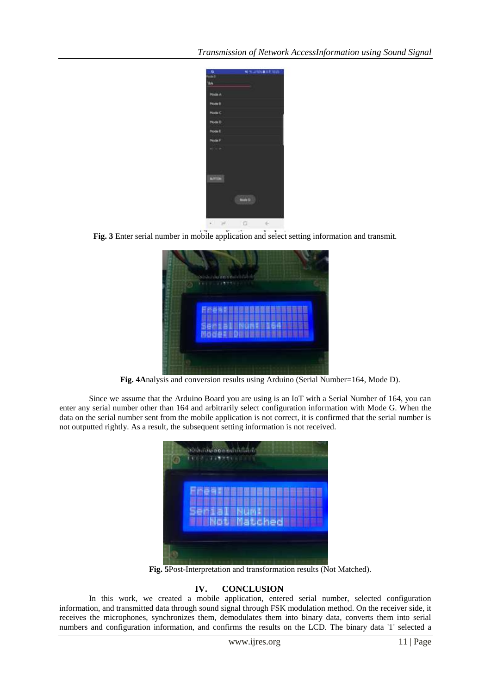

**Fig. 3** Enter serial number in mobile application and select setting information and transmit.

| Senatorina samban b<br>1111.1237111 |
|-------------------------------------|
| <b>湖志园波图夏阳路网新国</b> 范目               |
| 演員                                  |
| ●<br><b>NOGESEDENSE</b>             |

**Fig. 4A**nalysis and conversion results using Arduino (Serial Number=164, Mode D).

Since we assume that the Arduino Board you are using is an IoT with a Serial Number of 164, you can enter any serial number other than 164 and arbitrarily select configuration information with Mode G. When the data on the serial number sent from the mobile application is not correct, it is confirmed that the serial number is not outputted rightly. As a result, the subsequent setting information is not received.

| mea              |
|------------------|
| ⊞                |
| <b>SWMatched</b> |

**Fig. 5**Post-Interpretation and transformation results (Not Matched).

## **IV. CONCLUSION**

In this work, we created a mobile application, entered serial number, selected configuration information, and transmitted data through sound signal through FSK modulation method. On the receiver side, it receives the microphones, synchronizes them, demodulates them into binary data, converts them into serial numbers and configuration information, and confirms the results on the LCD. The binary data '1' selected a